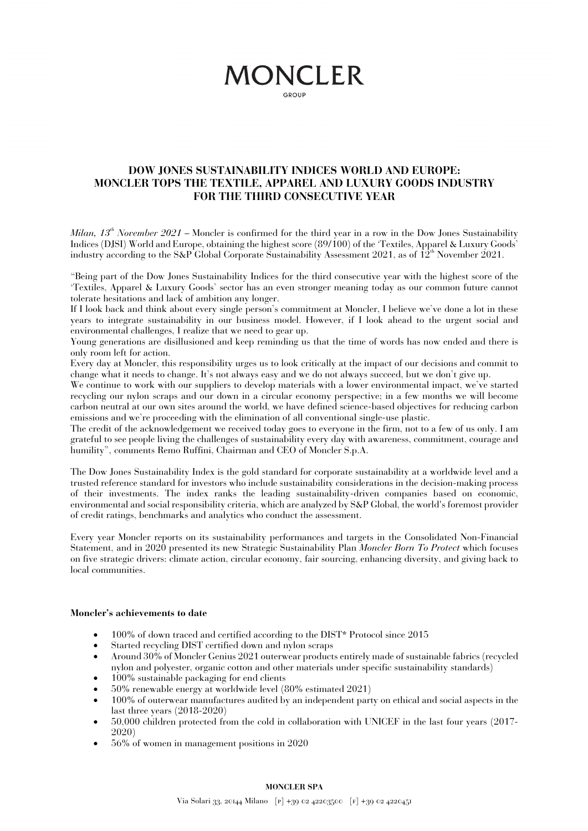# **MONCLER**

GROUP

### **DOW JONES SUSTAINABILITY INDICES WORLD AND EUROPE: MONCLER TOPS THE TEXTILE, APPAREL AND LUXURY GOODS INDUSTRY FOR THE THIRD CONSECUTIVE YEAR**

*Milan,*  $13^{th}$  *November*  $2021$  *– Moncler is confirmed for the third year in a row in the Dow Jones Sustainability* Indices (DJSI) World and Europe, obtaining the highest score (89/100) of the 'Textiles, Apparel & Luxury Goods' industry according to the S&P Global Corporate Sustainability Assessment 2021, as of  $12^{th}$  November 2021.

"Being part of the Dow Jones Sustainability Indices for the third consecutive year with the highest score of the 'Textiles, Apparel & Luxury Goods' sector has an even stronger meaning today as our common future cannot tolerate hesitations and lack of ambition any longer.

If I look back and think about every single person's commitment at Moncler, I believe we've done a lot in these years to integrate sustainability in our business model. However, if I look ahead to the urgent social and environmental challenges, I realize that we need to gear up.

Young generations are disillusioned and keep reminding us that the time of words has now ended and there is only room left for action.

Every day at Moncler, this responsibility urges us to look critically at the impact of our decisions and commit to change what it needs to change. It's not always easy and we do not always succeed, but we don't give up.

We continue to work with our suppliers to develop materials with a lower environmental impact, we've started recycling our nylon scraps and our down in a circular economy perspective; in a few months we will become carbon neutral at our own sites around the world, we have defined science-based objectives for reducing carbon emissions and we're proceeding with the elimination of all conventional single-use plastic.

The credit of the acknowledgement we received today goes to everyone in the firm, not to a few of us only. I am grateful to see people living the challenges of sustainability every day with awareness, commitment, courage and humility", comments Remo Ruffini, Chairman and CEO of Moncler S.p.A.

The Dow Jones Sustainability Index is the gold standard for corporate sustainability at a worldwide level and a trusted reference standard for investors who include sustainability considerations in the decision-making process of their investments. The index ranks the leading sustainability-driven companies based on economic, environmental and social responsibility criteria, which are analyzed by S&P Global, the world's foremost provider of credit ratings, benchmarks and analytics who conduct the assessment.

Every year Moncler reports on its sustainability performances and targets in the Consolidated Non-Financial Statement, and in 2020 presented its new Strategic Sustainability Plan *Moncler Born To Protect* which focuses on five strategic drivers: climate action, circular economy, fair sourcing, enhancing diversity, and giving back to local communities.

#### **Moncler's achievements to date**

- 100% of down traced and certified according to the DIST\* Protocol since 2015
- Started recycling DIST certified down and nylon scraps
- Around 30% of Moncler Genius 2021 outerwear products entirely made of sustainable fabrics (recycled nylon and polyester, organic cotton and other materials under specific sustainability standards)
- 100% sustainable packaging for end clients
- 50% renewable energy at worldwide level (80% estimated 2021)
- 100% of outerwear manufactures audited by an independent party on ethical and social aspects in the last three years (2018-2020)
- 50,000 children protected from the cold in collaboration with UNICEF in the last four years (2017- 2020)
- 56% of women in management positions in 2020

#### **MONCLER SPA**